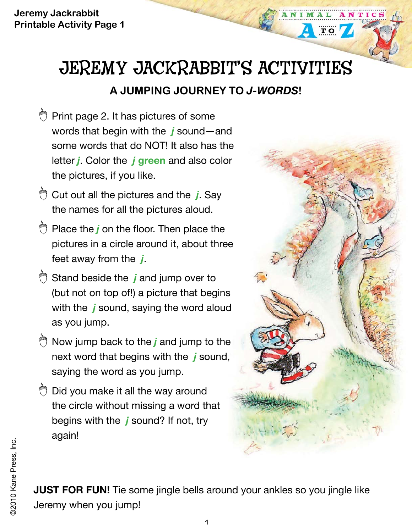## JEREMY JACKRABBIT'S ACTIVITIES **A JUMPING JOURNEY TO** *J-WORDS***!**

- $\bigcirc$  Print page 2. It has pictures of some words that begin with the *j* sound—and some words that do NOT! It also has the letter *j*. Color the *j* **green** and also color the pictures, if you like.
- Cut out all the pictures and the *j*. Say the names for all the pictures aloud.
- **Place the j on the floor. Then place the** pictures in a circle around it, about three feet away from the *j*.
- Stand beside the *j* and jump over to (but not on top of!) a picture that begins with the *j* sound, saying the word aloud as you jump.
- $\bigcirc$  Now jump back to the *j* and jump to the next word that begins with the *j* sound, saying the word as you jump.
- $\bigcirc$  Did you make it all the way around the circle without missing a word that begins with the *j* sound? If not, try again!



 $\overline{\mathbf{T}}$  O

**JUST FOR FUN!** Tie some jingle bells around your ankles so you jingle like Jeremy when you jump!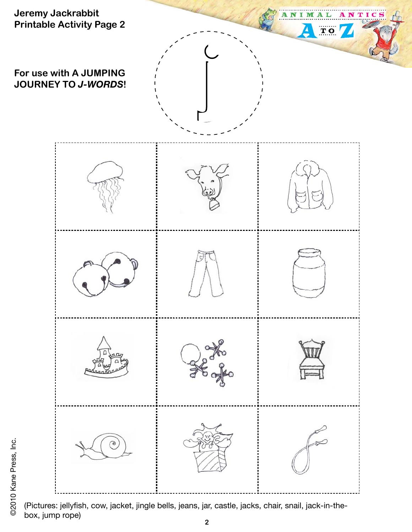

(Pictures: jellyfish, cow, jacket, jingle bells, jeans, jar, castle, jacks, chair, snail, jack-in-thebox, jump rope)

©2010 Kane Press, Inc.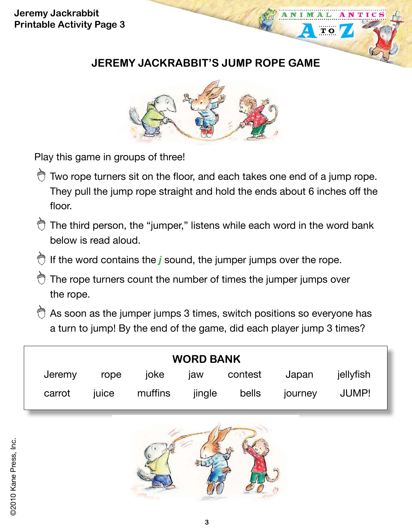## **Jeremy Jackrabbit Printable Activity Page 3**

## **JEREMY JACKRABBIT'S JUMP ROPE GAME**

**TO** 



Play this game in groups of three!

- $\bigcirc$  Two rope turners sit on the floor, and each takes one end of a jump rope. They pull the jump rope straight and hold the ends about 6 inches off the floor.
- $\bigcirc$  The third person, the "jumper," listens while each word in the word bank below is read aloud.
- If the word contains the *j* sound, the jumper jumps over the rope.
- The rope turners count the number of times the jumper jumps over the rope.
- $\bigcirc$  As soon as the jumper jumps 3 times, switch positions so everyone has a turn to jump! By the end of the game, did each player jump 3 times?

| <b>WORD BANK</b> |        |       |             |        |         |         |           |  |
|------------------|--------|-------|-------------|--------|---------|---------|-----------|--|
|                  | Jeremy | rope  | <i>ioke</i> | jaw    | contest | Japan   | jellyfish |  |
|                  | carrot | juice | muffins     | jingle | bells   | journey | JUMP!     |  |